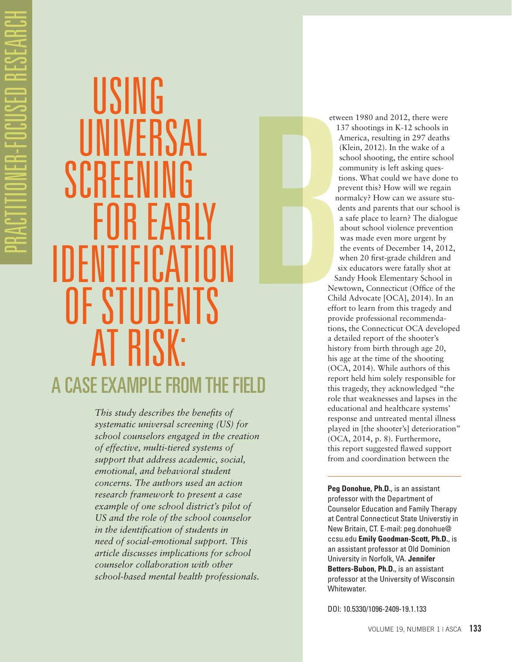# USING UNIVERSAL SCREENI FIIR FAR IDENTIFICATION OF STUDENTS AT RISK: A CASE EXAMPLE FROM THE FIELD

*This study describes the benefits of systematic universal screening (US) for school counselors engaged in the creation of effective, multi-tiered systems of support that address academic, social, emotional, and behavioral student concerns. The authors used an action research framework to present a case example of one school district's pilot of US and the role of the school counselor in the identification of students in need of social-emotional support. This article discusses implications for school counselor collaboration with other school-based mental health professionals.*

B etween 1980 and 2012, there were 137 shootings in K-12 schools in America, resulting in 297 deaths (Klein, 2012). In the wake of a school shooting, the entire school community is left asking questions. What could we have done to prevent this? How will we regain normalcy? How can we assure students and parents that our school is a safe place to learn? The dialogue about school violence prevention was made even more urgent by the events of December 14, 2012, when 20 first-grade children and six educators were fatally shot at Sandy Hook Elementary School in

Newtown, Connecticut (Office of the Child Advocate [OCA], 2014). In an effort to learn from this tragedy and provide professional recommendations, the Connecticut OCA developed a detailed report of the shooter's history from birth through age 20, his age at the time of the shooting (OCA, 2014). While authors of this report held him solely responsible for this tragedy, they acknowledged "the role that weaknesses and lapses in the educational and healthcare systems' response and untreated mental illness played in [the shooter's] deterioration" (OCA, 2014, p. 8). Furthermore, this report suggested flawed support from and coordination between the

**Peg Donohue, Ph.D.**, is an assistant professor with the Department of Counselor Education and Family Therapy at Central Connecticut State Universtiy in New Britain, CT. E-mail: peg.donohue@ ccsu.edu **Emily Goodman-Scott, Ph.D.**, is an assistant professor at Old Dominion University in Norfolk, VA. **Jennifer Betters-Bubon, Ph.D.**, is an assistant professor at the University of Wisconsin Whitewater.

DOI: 10.5330/1096-2409-19.1.133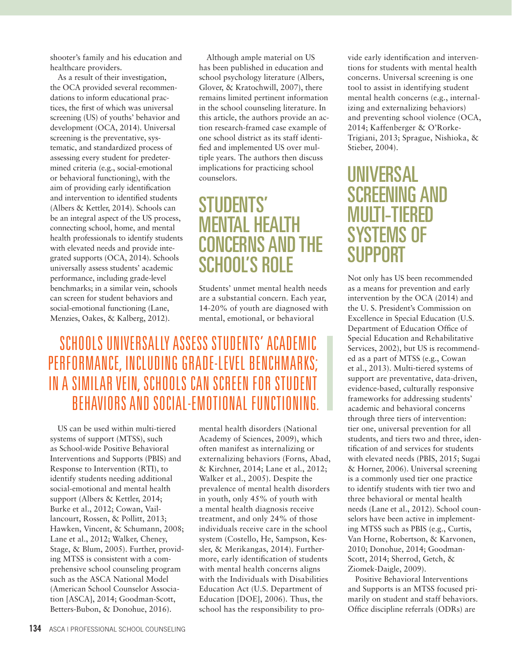shooter's family and his education and healthcare providers.

As a result of their investigation, the OCA provided several recommendations to inform educational practices, the first of which was universal screening (US) of youths' behavior and development (OCA, 2014). Universal screening is the preventative, systematic, and standardized process of assessing every student for predetermined criteria (e.g., social-emotional or behavioral functioning), with the aim of providing early identification and intervention to identified students (Albers & Kettler, 2014). Schools can be an integral aspect of the US process, connecting school, home, and mental health professionals to identify students with elevated needs and provide integrated supports (OCA, 2014). Schools universally assess students' academic performance, including grade-level benchmarks; in a similar vein, schools can screen for student behaviors and social-emotional functioning (Lane, Menzies, Oakes, & Kalberg, 2012).

Although ample material on US has been published in education and school psychology literature (Albers, Glover, & Kratochwill, 2007), there remains limited pertinent information in the school counseling literature. In this article, the authors provide an action research-framed case example of one school district as its staff identified and implemented US over multiple years. The authors then discuss implications for practicing school counselors.

# STUDENTS' MENTAL HEALTH CONCERNS AND THE SCHOOL'S ROLE

Students' unmet mental health needs are a substantial concern. Each year, 14-20% of youth are diagnosed with mental, emotional, or behavioral

## SCHOOLS UNIVERSALLY ASSESS STUDENTS' ACADEMIC PERFORMANCE, INCLUDING GRADE-LEVEL BENCHMARKS; IN A SIMILAR VEIN, SCHOOLS CAN SCREEN FOR STUDENT BEHAVIORS AND SOCIAL-EMOTIONAL FUNCTIONING.

US can be used within multi-tiered systems of support (MTSS), such as School-wide Positive Behavioral Interventions and Supports (PBIS) and Response to Intervention (RTI), to identify students needing additional social-emotional and mental health support (Albers & Kettler, 2014; Burke et al., 2012; Cowan, Vaillancourt, Rossen, & Pollitt, 2013; Hawken, Vincent, & Schumann, 2008; Lane et al., 2012; Walker, Cheney, Stage, & Blum, 2005). Further, providing MTSS is consistent with a comprehensive school counseling program such as the ASCA National Model (American School Counselor Association [ASCA], 2014; Goodman-Scott, Betters-Bubon, & Donohue, 2016).

mental health disorders (National Academy of Sciences, 2009), which often manifest as internalizing or externalizing behaviors (Forns, Abad, & Kirchner, 2014; Lane et al., 2012; Walker et al., 2005). Despite the prevalence of mental health disorders in youth, only 45% of youth with a mental health diagnosis receive treatment, and only 24% of those individuals receive care in the school system (Costello, He, Sampson, Kessler, & Merikangas, 2014). Furthermore, early identification of students with mental health concerns aligns with the Individuals with Disabilities Education Act (U.S. Department of Education [DOE], 2006). Thus, the school has the responsibility to provide early identification and interventions for students with mental health concerns. Universal screening is one tool to assist in identifying student mental health concerns (e.g., internalizing and externalizing behaviors) and preventing school violence (OCA, 2014; Kaffenberger & O'Rorke-Trigiani, 2013; Sprague, Nishioka, & Stieber, 2004).

# UNIVERSAL SCREENING AND MULTI-TIERED SYSTEMS OF SUPPORT

Not only has US been recommended as a means for prevention and early intervention by the OCA (2014) and the U. S. President's Commission on Excellence in Special Education (U.S. Department of Education Office of Special Education and Rehabilitative Services, 2002), but US is recommended as a part of MTSS (e.g., Cowan et al., 2013). Multi-tiered systems of support are preventative, data-driven, evidence-based, culturally responsive frameworks for addressing students' academic and behavioral concerns through three tiers of intervention: tier one, universal prevention for all students, and tiers two and three, identification of and services for students with elevated needs (PBIS, 2015; Sugai & Horner, 2006). Universal screening is a commonly used tier one practice to identify students with tier two and three behavioral or mental health needs (Lane et al., 2012). School counselors have been active in implementing MTSS such as PBIS (e.g., Curtis, Van Horne, Robertson, & Karvonen, 2010; Donohue, 2014; Goodman-Scott, 2014; Sherrod, Getch, & Ziomek-Daigle, 2009).

Positive Behavioral Interventions and Supports is an MTSS focused primarily on student and staff behaviors. Office discipline referrals (ODRs) are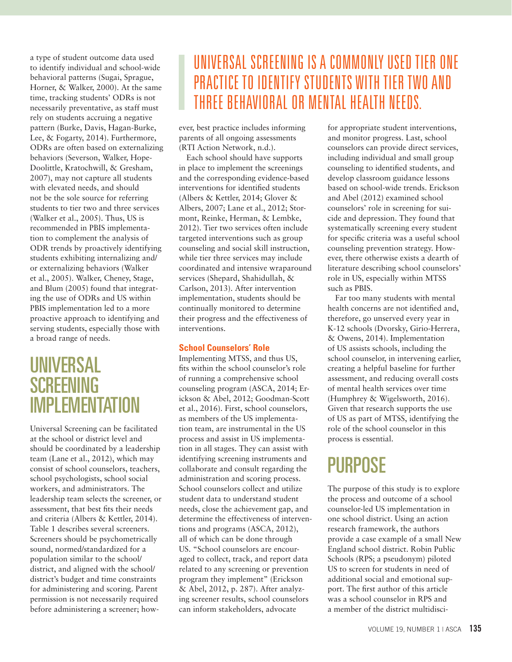a type of student outcome data used to identify individual and school-wide behavioral patterns (Sugai, Sprague, Horner, & Walker, 2000). At the same time, tracking students' ODRs is not necessarily preventative, as staff must rely on students accruing a negative pattern (Burke, Davis, Hagan-Burke, Lee, & Fogarty, 2014). Furthermore, ODRs are often based on externalizing behaviors (Severson, Walker, Hope-Doolittle, Kratochwill, & Gresham, 2007), may not capture all students with elevated needs, and should not be the sole source for referring students to tier two and three services (Walker et al., 2005). Thus, US is recommended in PBIS implementation to complement the analysis of ODR trends by proactively identifying students exhibiting internalizing and/ or externalizing behaviors (Walker et al., 2005). Walker, Cheney, Stage, and Blum (2005) found that integrating the use of ODRs and US within PBIS implementation led to a more proactive approach to identifying and serving students, especially those with a broad range of needs.

### UNIVERSAL **SCREENING** IMPLEMENTATION

Universal Screening can be facilitated at the school or district level and should be coordinated by a leadership team (Lane et al., 2012), which may consist of school counselors, teachers, school psychologists, school social workers, and administrators. The leadership team selects the screener, or assessment, that best fits their needs and criteria (Albers & Kettler, 2014). Table 1 describes several screeners. Screeners should be psychometrically sound, normed/standardized for a population similar to the school/ district, and aligned with the school/ district's budget and time constraints for administering and scoring. Parent permission is not necessarily required before administering a screener; how-

# UNIVERSAL SCREENING IS A COMMONLY USED TIER ONE PRACTICE TO IDENTIFY STUDENTS WITH TIER TWO AND THREE BEHAVIORAL OR MENTAL HEALTH NEEDS.

ever, best practice includes informing parents of all ongoing assessments (RTI Action Network, n.d.).

Each school should have supports in place to implement the screenings and the corresponding evidence-based interventions for identified students (Albers & Kettler, 2014; Glover & Albers, 2007; Lane et al., 2012; Stormont, Reinke, Herman, & Lembke, 2012). Tier two services often include targeted interventions such as group counseling and social skill instruction, while tier three services may include coordinated and intensive wraparound services (Shepard, Shahidullah, & Carlson, 2013). After intervention implementation, students should be continually monitored to determine their progress and the effectiveness of interventions.

#### **School Counselors' Role**

Implementing MTSS, and thus US, fits within the school counselor's role of running a comprehensive school counseling program (ASCA, 2014; Erickson & Abel, 2012; Goodman-Scott et al., 2016). First, school counselors, as members of the US implementation team, are instrumental in the US process and assist in US implementation in all stages. They can assist with identifying screening instruments and collaborate and consult regarding the administration and scoring process. School counselors collect and utilize student data to understand student needs, close the achievement gap, and determine the effectiveness of interventions and programs (ASCA, 2012), all of which can be done through US. "School counselors are encouraged to collect, track, and report data related to any screening or prevention program they implement" (Erickson & Abel, 2012, p. 287). After analyzing screener results, school counselors can inform stakeholders, advocate

for appropriate student interventions, and monitor progress. Last, school counselors can provide direct services, including individual and small group counseling to identified students, and develop classroom guidance lessons based on school-wide trends. Erickson and Abel (2012) examined school counselors' role in screening for suicide and depression. They found that systematically screening every student for specific criteria was a useful school counseling prevention strategy. However, there otherwise exists a dearth of literature describing school counselors' role in US, especially within MTSS such as PBIS.

Far too many students with mental health concerns are not identified and, therefore, go unserved every year in K-12 schools (Dvorsky, Girio-Herrera, & Owens, 2014). Implementation of US assists schools, including the school counselor, in intervening earlier, creating a helpful baseline for further assessment, and reducing overall costs of mental health services over time (Humphrey & Wigelsworth, 2016). Given that research supports the use of US as part of MTSS, identifying the role of the school counselor in this process is essential.

# PURPOSE

The purpose of this study is to explore the process and outcome of a school counselor-led US implementation in one school district. Using an action research framework, the authors provide a case example of a small New England school district. Robin Public Schools (RPS; a pseudonym) piloted US to screen for students in need of additional social and emotional support. The first author of this article was a school counselor in RPS and a member of the district multidisci-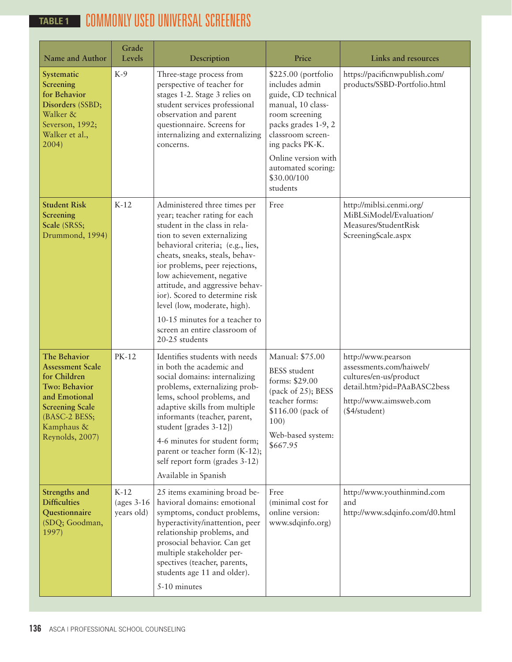### COMMONLY USED UNIVERSAL SCREENERS **TABLE 1**

| <b>Name and Author</b>                                                                                                                                                              | Grade<br>Levels                      | Description                                                                                                                                                                                                                                                                                                                                                                                                                                                   | Price                                                                                                                                                                                                                                      | <b>Links and resources</b>                                                                                                                        |  |
|-------------------------------------------------------------------------------------------------------------------------------------------------------------------------------------|--------------------------------------|---------------------------------------------------------------------------------------------------------------------------------------------------------------------------------------------------------------------------------------------------------------------------------------------------------------------------------------------------------------------------------------------------------------------------------------------------------------|--------------------------------------------------------------------------------------------------------------------------------------------------------------------------------------------------------------------------------------------|---------------------------------------------------------------------------------------------------------------------------------------------------|--|
| Systematic<br>Screening<br>for Behavior<br>Disorders (SSBD;<br>Walker &<br>Severson, 1992;<br>Walker et al.,<br>2004)                                                               | $K-9$                                | Three-stage process from<br>perspective of teacher for<br>stages 1-2. Stage 3 relies on<br>student services professional<br>observation and parent<br>questionnaire. Screens for<br>internalizing and externalizing<br>concerns.                                                                                                                                                                                                                              | \$225.00 (portfolio<br>includes admin<br>guide, CD technical<br>manual, 10 class-<br>room screening<br>packs grades 1-9, 2<br>classroom screen-<br>ing packs PK-K.<br>Online version with<br>automated scoring:<br>\$30.00/100<br>students | https://pacificnwpublish.com/<br>products/SSBD-Portfolio.html                                                                                     |  |
| <b>Student Risk</b><br><b>Screening</b><br>Scale (SRSS;<br>Drummond, 1994)                                                                                                          | $K-12$                               | Administered three times per<br>year; teacher rating for each<br>student in the class in rela-<br>tion to seven externalizing<br>behavioral criteria; (e.g., lies,<br>cheats, sneaks, steals, behav-<br>ior problems, peer rejections,<br>low achievement, negative<br>attitude, and aggressive behav-<br>ior). Scored to determine risk<br>level (low, moderate, high).<br>10-15 minutes for a teacher to<br>screen an entire classroom of<br>20-25 students | Free                                                                                                                                                                                                                                       | http://miblsi.cenmi.org/<br>MiBLSiModel/Evaluation/<br>Measures/StudentRisk<br>ScreeningScale.aspx                                                |  |
| <b>The Behavior</b><br><b>Assessment Scale</b><br>for Children<br><b>Two: Behavior</b><br>and Emotional<br><b>Screening Scale</b><br>(BASC-2 BESS;<br>Kamphaus &<br>Reynolds, 2007) | PK-12                                | Identifies students with needs<br>in both the academic and<br>social domains: internalizing<br>problems, externalizing prob-<br>lems, school problems, and<br>adaptive skills from multiple<br>informants (teacher, parent,<br>student [grades 3-12])<br>4-6 minutes for student form;<br>parent or teacher form (K-12);<br>self report form (grades 3-12)<br>Available in Spanish                                                                            | Manual: \$75.00<br><b>BESS</b> student<br>forms: \$29.00<br>(pack of 25); BESS<br>teacher forms:<br>\$116.00 (pack of<br>100)<br>Web-based system:<br>\$667.95                                                                             | http://www.pearson<br>assessments.com/haiweb/<br>cultures/en-us/product<br>detail.htm?pid=PAaBASC2bess<br>http://www.aimsweb.com<br>(\$4/student) |  |
| Strengths and<br><b>Difficulties</b><br>Questionnaire<br>(SDQ; Goodman,<br>1997)                                                                                                    | $K-12$<br>(ages $3-16$<br>years old) | 25 items examining broad be-<br>havioral domains: emotional<br>symptoms, conduct problems,<br>hyperactivity/inattention, peer<br>relationship problems, and<br>prosocial behavior. Can get<br>multiple stakeholder per-<br>spectives (teacher, parents,<br>students age 11 and older).<br>5-10 minutes                                                                                                                                                        | Free<br>(minimal cost for<br>online version:<br>www.sdqinfo.org)                                                                                                                                                                           | http://www.youthinmind.com<br>and<br>http://www.sdqinfo.com/d0.html                                                                               |  |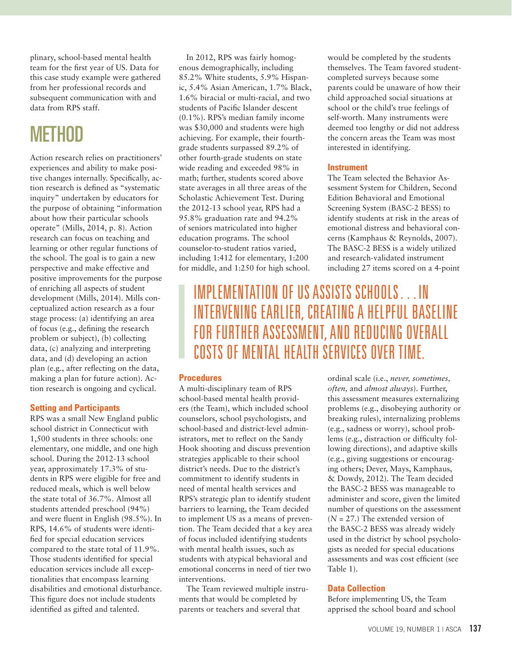plinary, school-based mental health team for the first year of US. Data for this case study example were gathered from her professional records and subsequent communication with and data from RPS staff.

# **METHOD**

Action research relies on practitioners' experiences and ability to make positive changes internally. Specifically, action research is defined as "systematic inquiry" undertaken by educators for the purpose of obtaining "information about how their particular schools operate" (Mills, 2014, p. 8). Action research can focus on teaching and learning or other regular functions of the school. The goal is to gain a new perspective and make effective and positive improvements for the purpose of enriching all aspects of student development (Mills, 2014). Mills conceptualized action research as a four stage process: (a) identifying an area of focus (e.g., defining the research problem or subject), (b) collecting data, (c) analyzing and interpreting data, and (d) developing an action plan (e.g., after reflecting on the data, making a plan for future action). Action research is ongoing and cyclical.

#### **Setting and Participants**

RPS was a small New England public school district in Connecticut with 1,500 students in three schools: one elementary, one middle, and one high school. During the 2012-13 school year, approximately 17.3% of students in RPS were eligible for free and reduced meals, which is well below the state total of 36.7%. Almost all students attended preschool (94%) and were fluent in English (98.5%). In RPS, 14.6% of students were identified for special education services compared to the state total of 11.9%. Those students identified for special education services include all exceptionalities that encompass learning disabilities and emotional disturbance. This figure does not include students identified as gifted and talented.

In 2012, RPS was fairly homogenous demographically, including 85.2% White students, 5.9% Hispanic, 5.4% Asian American, 1.7% Black, 1.6% biracial or multi-racial, and two students of Pacific Islander descent (0.1%). RPS's median family income was \$30,000 and students were high achieving. For example, their fourthgrade students surpassed 89.2% of other fourth-grade students on state wide reading and exceeded 98% in math; further, students scored above state averages in all three areas of the Scholastic Achievement Test. During the 2012-13 school year, RPS had a 95.8% graduation rate and 94.2% of seniors matriculated into higher education programs. The school counselor-to-student ratios varied, including 1:412 for elementary, 1:200 for middle, and 1:250 for high school.

would be completed by the students themselves. The Team favored studentcompleted surveys because some parents could be unaware of how their child approached social situations at school or the child's true feelings of self-worth. Many instruments were deemed too lengthy or did not address the concern areas the Team was most interested in identifying.

#### **Instrument**

The Team selected the Behavior Assessment System for Children, Second Edition Behavioral and Emotional Screening System (BASC-2 BESS) to identify students at risk in the areas of emotional distress and behavioral concerns (Kamphaus & Reynolds, 2007). The BASC-2 BESS is a widely utilized and research-validated instrument including 27 items scored on a 4-point

### IMPLEMENTATION OF US ASSISTS SCHOOLS…IN INTERVENING EARLIER, CREATING A HELPFUL BASELINE FOR FURTHER ASSESSMENT, AND REDUCING OVERALL COSTS OF MENTAL HEALTH SERVICES OVER TIME.

#### **Procedures**

A multi-disciplinary team of RPS school-based mental health providers (the Team), which included school counselors, school psychologists, and school-based and district-level administrators, met to reflect on the Sandy Hook shooting and discuss prevention strategies applicable to their school district's needs. Due to the district's commitment to identify students in need of mental health services and RPS's strategic plan to identify student barriers to learning, the Team decided to implement US as a means of prevention. The Team decided that a key area of focus included identifying students with mental health issues, such as students with atypical behavioral and emotional concerns in need of tier two interventions.

The Team reviewed multiple instruments that would be completed by parents or teachers and several that

ordinal scale (i.e., *never, sometimes, often,* and *almost always*). Further, this assessment measures externalizing problems (e.g., disobeying authority or breaking rules), internalizing problems (e.g., sadness or worry), school problems (e.g., distraction or difficulty following directions), and adaptive skills (e.g., giving suggestions or encouraging others; Dever, Mays, Kamphaus, & Dowdy, 2012). The Team decided the BASC-2 BESS was manageable to administer and score, given the limited number of questions on the assessment (*N* = 27.) The extended version of the BASC-2 BESS was already widely used in the district by school psychologists as needed for special educations assessments and was cost efficient (see Table 1).

#### **Data Collection**

Before implementing US, the Team apprised the school board and school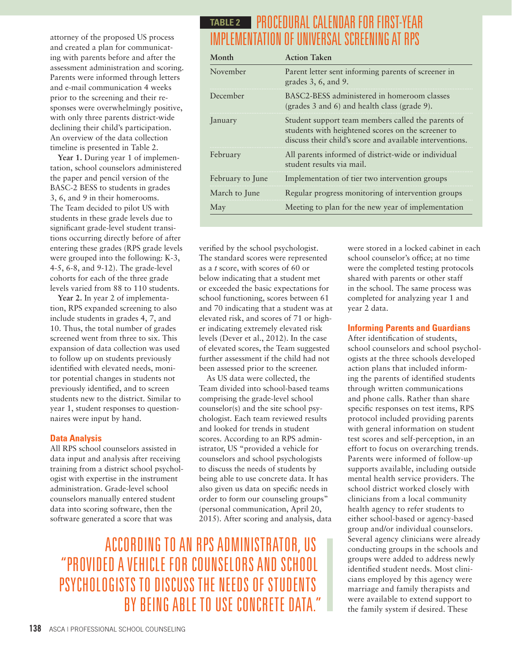attorney of the proposed US process and created a plan for communicating with parents before and after the assessment administration and scoring. Parents were informed through letters and e-mail communication 4 weeks prior to the screening and their responses were overwhelmingly positive, with only three parents district-wide declining their child's participation. An overview of the data collection timeline is presented in Table 2.

Year 1. During year 1 of implementation, school counselors administered the paper and pencil version of the BASC-2 BESS to students in grades 3, 6, and 9 in their homerooms. The Team decided to pilot US with students in these grade levels due to significant grade-level student transitions occurring directly before of after entering these grades (RPS grade levels were grouped into the following: K-3, 4-5, 6-8, and 9-12). The grade-level cohorts for each of the three grade levels varied from 88 to 110 students.

**Year 2.** In year 2 of implementation, RPS expanded screening to also include students in grades 4, 7, and 10. Thus, the total number of grades screened went from three to six. This expansion of data collection was used to follow up on students previously identified with elevated needs, monitor potential changes in students not previously identified, and to screen students new to the district. Similar to year 1, student responses to questionnaires were input by hand.

#### **Data Analysis**

All RPS school counselors assisted in data input and analysis after receiving training from a district school psychologist with expertise in the instrument administration. Grade-level school counselors manually entered student data into scoring software, then the software generated a score that was

### PROCEDURAL CALENDAR FOR FIRST-YEAR **TABLE 2**IMPLEMENTATION OF UNIVERSAL SCREENING AT RPS

| Month            | <b>Action Taken</b>                                                                                                                                                  |  |  |  |
|------------------|----------------------------------------------------------------------------------------------------------------------------------------------------------------------|--|--|--|
| November         | Parent letter sent informing parents of screener in<br>grades $3, 6$ , and $9$ .                                                                                     |  |  |  |
| December         | BASC2-BESS administered in homeroom classes<br>(grades 3 and 6) and health class (grade 9).                                                                          |  |  |  |
| <i>anuary</i>    | Student support team members called the parents of<br>students with heightened scores on the screener to<br>discuss their child's score and available interventions. |  |  |  |
| February         | All parents informed of district-wide or individual<br>student results via mail.                                                                                     |  |  |  |
| February to June | Implementation of tier two intervention groups                                                                                                                       |  |  |  |
| March to June    | Regular progress monitoring of intervention groups                                                                                                                   |  |  |  |
| May              | Meeting to plan for the new year of implementation                                                                                                                   |  |  |  |

verified by the school psychologist. The standard scores were represented as a *t* score, with scores of 60 or below indicating that a student met or exceeded the basic expectations for school functioning, scores between 61 and 70 indicating that a student was at elevated risk, and scores of 71 or higher indicating extremely elevated risk levels (Dever et al., 2012). In the case of elevated scores, the Team suggested further assessment if the child had not been assessed prior to the screener.

As US data were collected, the Team divided into school-based teams comprising the grade-level school counselor(s) and the site school psychologist. Each team reviewed results and looked for trends in student scores. According to an RPS administrator, US "provided a vehicle for counselors and school psychologists to discuss the needs of students by being able to use concrete data. It has also given us data on specific needs in order to form our counseling groups" (personal communication, April 20, 2015). After scoring and analysis, data

ACCORDING TO AN RPS ADMINISTRATOR, US "PROVIDED A VEHICLE FOR COUNSELORS AND SCHOOL PSYCHOLOGISTS TO DISCUSS THE NEEDS OF STUDENTS BY BEING ABLE TO USE CONCRETE DATA."

school counselor's office; at no time were the completed testing protocols shared with parents or other staff in the school. The same process was completed for analyzing year 1 and year 2 data. **Informing Parents and Guardians**

After identification of students, school counselors and school psychologists at the three schools developed action plans that included informing the parents of identified students through written communications and phone calls. Rather than share specific responses on test items, RPS protocol included providing parents with general information on student test scores and self-perception, in an effort to focus on overarching trends. Parents were informed of follow-up supports available, including outside mental health service providers. The school district worked closely with clinicians from a local community health agency to refer students to either school-based or agency-based group and/or individual counselors. Several agency clinicians were already conducting groups in the schools and groups were added to address newly identified student needs. Most clinicians employed by this agency were marriage and family therapists and were available to extend support to the family system if desired. These

were stored in a locked cabinet in each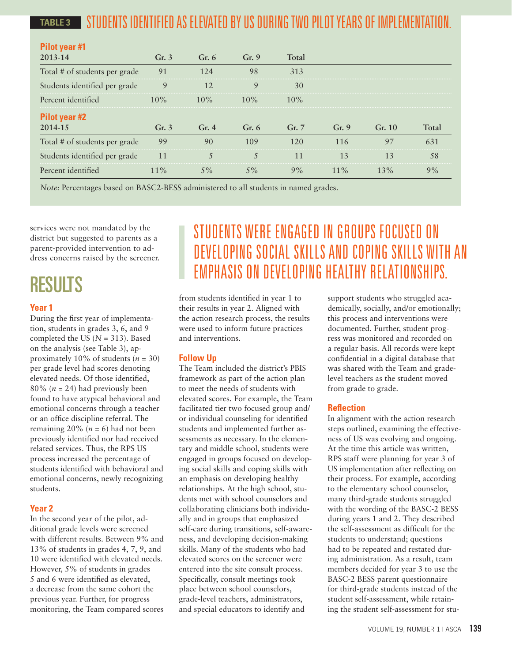#### STUDENTS IDENTIFIED AS ELEVATED BY US DURING TWO PILOT YEARS OF IMPLEMENTATION. **TABLE 3**

| <b>Pilot year #1</b>          |         |         |             |        |        |        |       |
|-------------------------------|---------|---------|-------------|--------|--------|--------|-------|
| 2013-14                       | Gr.3    | Gr. $6$ | Gr.9        | Total  |        |        |       |
| Total # of students per grade | 91      | 124     | 98          | 313    |        |        |       |
| Students identified per grade | 9       |         | $\mathbf Q$ | 30     |        |        |       |
| Percent identified            | $10\%$  | $10\%$  | $10\%$      | $10\%$ |        |        |       |
| <b>Pilot year #2</b>          |         |         |             |        |        |        |       |
| 2014-15                       | Gr. $3$ | Gr.4    | Gr. $6$     | Gr. 7  | Gr.9   | Gr. 10 | Total |
| Total # of students per grade | 99      | 90      | 109         |        | 116    | 97     | 631   |
| Students identified per grade | 11      |         |             |        |        | 13     | 58    |
| Percent identified            | $11\%$  | $5\%$   | $5\%$       | 9%     | $11\%$ | $13\%$ | 9%    |

*Note:* Percentages based on BASC2-BESS administered to all students in named grades.

services were not mandated by the district but suggested to parents as a parent-provided intervention to address concerns raised by the screener.

# RESULTS

#### **Year 1**

During the first year of implementation, students in grades 3, 6, and 9 completed the US (*N* = 313). Based on the analysis (see Table 3), approximately 10% of students  $(n = 30)$ per grade level had scores denoting elevated needs. Of those identified, 80% ( $n = 24$ ) had previously been found to have atypical behavioral and emotional concerns through a teacher or an office discipline referral. The remaining  $20\%$  ( $n = 6$ ) had not been previously identified nor had received related services. Thus, the RPS US process increased the percentage of students identified with behavioral and emotional concerns, newly recognizing students.

#### **Year 2**

In the second year of the pilot, additional grade levels were screened with different results. Between 9% and 13% of students in grades 4, 7, 9, and 10 were identified with elevated needs. However, 5% of students in grades 5 and 6 were identified as elevated, a decrease from the same cohort the previous year. Further, for progress monitoring, the Team compared scores

# STUDENTS WERE ENGAGED IN GROUPS FOCUSED ON DEVELOPING SOCIAL SKILLS AND COPING SKILLS WITH AN EMPHASIS ON DEVELOPING HEALTHY RELATIONSHIPS.

from students identified in year 1 to their results in year 2. Aligned with the action research process, the results were used to inform future practices and interventions.

#### **Follow Up**

The Team included the district's PBIS framework as part of the action plan to meet the needs of students with elevated scores. For example, the Team facilitated tier two focused group and/ or individual counseling for identified students and implemented further assessments as necessary. In the elementary and middle school, students were engaged in groups focused on developing social skills and coping skills with an emphasis on developing healthy relationships. At the high school, students met with school counselors and collaborating clinicians both individually and in groups that emphasized self-care during transitions, self-awareness, and developing decision-making skills. Many of the students who had elevated scores on the screener were entered into the site consult process. Specifically, consult meetings took place between school counselors, grade-level teachers, administrators, and special educators to identify and

support students who struggled academically, socially, and/or emotionally; this process and interventions were documented. Further, student progress was monitored and recorded on a regular basis. All records were kept confidential in a digital database that was shared with the Team and gradelevel teachers as the student moved from grade to grade.

#### **Reflection**

In alignment with the action research steps outlined, examining the effectiveness of US was evolving and ongoing. At the time this article was written, RPS staff were planning for year 3 of US implementation after reflecting on their process. For example, according to the elementary school counselor, many third-grade students struggled with the wording of the BASC-2 BESS during years 1 and 2. They described the self-assessment as difficult for the students to understand; questions had to be repeated and restated during administration. As a result, team members decided for year 3 to use the BASC-2 BESS parent questionnaire for third-grade students instead of the student self-assessment, while retaining the student self-assessment for stu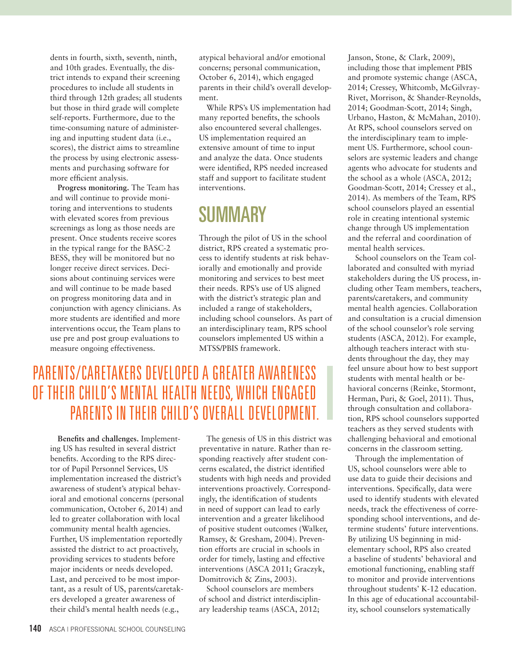dents in fourth, sixth, seventh, ninth, and 10th grades. Eventually, the district intends to expand their screening procedures to include all students in third through 12th grades; all students but those in third grade will complete self-reports. Furthermore, due to the time-consuming nature of administering and inputting student data (i.e., scores), the district aims to streamline the process by using electronic assessments and purchasing software for more efficient analysis.

**Progress monitoring.** The Team has and will continue to provide monitoring and interventions to students with elevated scores from previous screenings as long as those needs are present. Once students receive scores in the typical range for the BASC-2 BESS, they will be monitored but no longer receive direct services. Decisions about continuing services were and will continue to be made based on progress monitoring data and in conjunction with agency clinicians. As more students are identified and more interventions occur, the Team plans to use pre and post group evaluations to measure ongoing effectiveness.

atypical behavioral and/or emotional concerns; personal communication, October 6, 2014), which engaged parents in their child's overall development.

While RPS's US implementation had many reported benefits, the schools also encountered several challenges. US implementation required an extensive amount of time to input and analyze the data. Once students were identified, RPS needed increased staff and support to facilitate student interventions.

# **SUMMARY**

Through the pilot of US in the school district, RPS created a systematic process to identify students at risk behaviorally and emotionally and provide monitoring and services to best meet their needs. RPS's use of US aligned with the district's strategic plan and included a range of stakeholders, including school counselors. As part of an interdisciplinary team, RPS school counselors implemented US within a MTSS/PBIS framework.

# PARENTS/CARETAKERS DEVELOPED A GREATER AWARENESS OF THEIR CHILD'S MENTAL HEALTH NEEDS, WHICH ENGAGED PARENTS IN THEIR CHILD'S OVERALL DEVELOPMENT.

**Benefits and challenges.** Implementing US has resulted in several district benefits. According to the RPS director of Pupil Personnel Services, US implementation increased the district's awareness of student's atypical behavioral and emotional concerns (personal communication, October 6, 2014) and led to greater collaboration with local community mental health agencies. Further, US implementation reportedly assisted the district to act proactively, providing services to students before major incidents or needs developed. Last, and perceived to be most important, as a result of US, parents/caretakers developed a greater awareness of their child's mental health needs (e.g.,

The genesis of US in this district was preventative in nature. Rather than responding reactively after student concerns escalated, the district identified students with high needs and provided interventions proactively. Correspondingly, the identification of students in need of support can lead to early intervention and a greater likelihood of positive student outcomes (Walker, Ramsey, & Gresham, 2004). Prevention efforts are crucial in schools in order for timely, lasting and effective interventions (ASCA 2011; Graczyk, Domitrovich & Zins, 2003).

School counselors are members of school and district interdisciplinary leadership teams (ASCA, 2012;

Janson, Stone, & Clark, 2009), including those that implement PBIS and promote systemic change (ASCA, 2014; Cressey, Whitcomb, McGilvray-Rivet, Morrison, & Shander-Reynolds, 2014; Goodman-Scott, 2014; Singh, Urbano, Haston, & McMahan, 2010). At RPS, school counselors served on the interdisciplinary team to implement US. Furthermore, school counselors are systemic leaders and change agents who advocate for students and the school as a whole (ASCA, 2012; Goodman-Scott, 2014; Cressey et al., 2014). As members of the Team, RPS school counselors played an essential role in creating intentional systemic change through US implementation and the referral and coordination of mental health services.

School counselors on the Team collaborated and consulted with myriad stakeholders during the US process, including other Team members, teachers, parents/caretakers, and community mental health agencies. Collaboration and consultation is a crucial dimension of the school counselor's role serving students (ASCA, 2012). For example, although teachers interact with students throughout the day, they may feel unsure about how to best support students with mental health or behavioral concerns (Reinke, Stormont, Herman, Puri, & Goel, 2011). Thus, through consultation and collaboration, RPS school counselors supported teachers as they served students with challenging behavioral and emotional concerns in the classroom setting.

Through the implementation of US, school counselors were able to use data to guide their decisions and interventions. Specifically, data were used to identify students with elevated needs, track the effectiveness of corresponding school interventions, and determine students' future interventions. By utilizing US beginning in midelementary school, RPS also created a baseline of students' behavioral and emotional functioning, enabling staff to monitor and provide interventions throughout students' K-12 education. In this age of educational accountability, school counselors systematically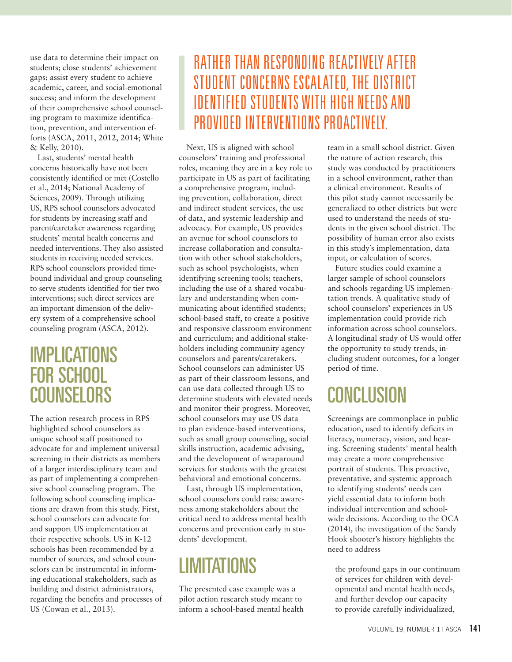use data to determine their impact on students; close students' achievement gaps; assist every student to achieve academic, career, and social-emotional success; and inform the development of their comprehensive school counseling program to maximize identification, prevention, and intervention efforts (ASCA, 2011, 2012, 2014; White & Kelly, 2010).

Last, students' mental health concerns historically have not been consistently identified or met (Costello et al., 2014; National Academy of Sciences, 2009). Through utilizing US, RPS school counselors advocated for students by increasing staff and parent/caretaker awareness regarding students' mental health concerns and needed interventions. They also assisted students in receiving needed services. RPS school counselors provided timebound individual and group counseling to serve students identified for tier two interventions; such direct services are an important dimension of the delivery system of a comprehensive school counseling program (ASCA, 2012).

## IMPLICATIONS FOR SCHOOL **COUNSELORS**

The action research process in RPS highlighted school counselors as unique school staff positioned to advocate for and implement universal screening in their districts as members of a larger interdisciplinary team and as part of implementing a comprehensive school counseling program. The following school counseling implications are drawn from this study. First, school counselors can advocate for and support US implementation at their respective schools. US in K-12 schools has been recommended by a number of sources, and school counselors can be instrumental in informing educational stakeholders, such as building and district administrators, regarding the benefits and processes of US (Cowan et al., 2013).

# RATHER THAN RESPONDING REACTIVELY AFTER STUDENT CONCERNS ESCALATED, THE DISTRICT IDENTIFIED STUDENTS WITH HIGH NEEDS AND PROVIDED INTERVENTIONS PROACTIVELY.

Next, US is aligned with school counselors' training and professional roles, meaning they are in a key role to participate in US as part of facilitating a comprehensive program, including prevention, collaboration, direct and indirect student services, the use of data, and systemic leadership and advocacy. For example, US provides an avenue for school counselors to increase collaboration and consultation with other school stakeholders, such as school psychologists, when identifying screening tools; teachers, including the use of a shared vocabulary and understanding when communicating about identified students; school-based staff, to create a positive and responsive classroom environment and curriculum; and additional stakeholders including community agency counselors and parents/caretakers. School counselors can administer US as part of their classroom lessons, and can use data collected through US to determine students with elevated needs and monitor their progress. Moreover, school counselors may use US data to plan evidence-based interventions, such as small group counseling, social skills instruction, academic advising, and the development of wraparound services for students with the greatest behavioral and emotional concerns.

Last, through US implementation, school counselors could raise awareness among stakeholders about the critical need to address mental health concerns and prevention early in students' development.

# **LIMITATIONS**

The presented case example was a pilot action research study meant to inform a school-based mental health team in a small school district. Given the nature of action research, this study was conducted by practitioners in a school environment, rather than a clinical environment. Results of this pilot study cannot necessarily be generalized to other districts but were used to understand the needs of students in the given school district. The possibility of human error also exists in this study's implementation, data input, or calculation of scores.

Future studies could examine a larger sample of school counselors and schools regarding US implementation trends. A qualitative study of school counselors' experiences in US implementation could provide rich information across school counselors. A longitudinal study of US would offer the opportunity to study trends, including student outcomes, for a longer period of time.

# **CONCLUSION**

Screenings are commonplace in public education, used to identify deficits in literacy, numeracy, vision, and hearing. Screening students' mental health may create a more comprehensive portrait of students. This proactive, preventative, and systemic approach to identifying students' needs can yield essential data to inform both individual intervention and schoolwide decisions. According to the OCA (2014), the investigation of the Sandy Hook shooter's history highlights the need to address

the profound gaps in our continuum of services for children with developmental and mental health needs, and further develop our capacity to provide carefully individualized,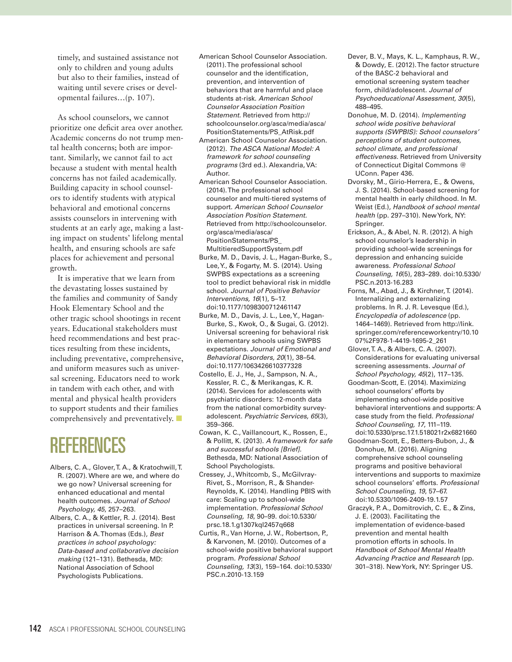timely, and sustained assistance not only to children and young adults but also to their families, instead of waiting until severe crises or developmental failures…(p. 107).

As school counselors, we cannot prioritize one deficit area over another. Academic concerns do not trump mental health concerns; both are important. Similarly, we cannot fail to act because a student with mental health concerns has not failed academically. Building capacity in school counselors to identify students with atypical behavioral and emotional concerns assists counselors in intervening with students at an early age, making a lasting impact on students' lifelong mental health, and ensuring schools are safe places for achievement and personal growth.

It is imperative that we learn from the devastating losses sustained by the families and community of Sandy Hook Elementary School and the other tragic school shootings in recent years. Educational stakeholders must heed recommendations and best practices resulting from these incidents, including preventative, comprehensive, and uniform measures such as universal screening. Educators need to work in tandem with each other, and with mental and physical health providers to support students and their families comprehensively and preventatively.  $\Box$ 

# REFERENCES

- Albers, C. A., Glover, T. A., & Kratochwill, T. R. (2007). Where are we, and where do we go now? Universal screening for enhanced educational and mental health outcomes. *Journal of School Psychology, 45*, 257–263.
- Albers, C. A., & Kettler, R. J. (2014). Best practices in universal screening. In P. Harrison & A. Thomas (Eds.), *Best practices in school psychology: Data-based and collaborative decision making* (121–131). Bethesda, MD: National Association of School Psychologists Publications.
- American School Counselor Association. (2011). The professional school counselor and the identification, prevention, and intervention of behaviors that are harmful and place students at-risk. *American School Counselor Association Position Statement.* Retrieved from http:// schoolcounselor.org/asca/media/asca/ PositionStatements/PS\_AtRisk.pdf
- American School Counselor Association. (2012). *The ASCA National Model: A framework for school counseling programs* (3rd ed.). Alexandria, VA: Author.
- American School Counselor Association. (2014). The professional school counselor and multi-tiered systems of support. *American School Counselor Association Position Statement.*  Retrieved from http://schoolcounselor. org/asca/media/asca/ PositionStatements/PS\_ MultitieredSupportSystem.pdf
- Burke, M. D., Davis, J. L., Hagan-Burke, S., Lee, Y., & Fogarty, M. S. (2014). Using SWPBS expectations as a screening tool to predict behavioral risk in middle school. *Journal of Positive Behavior Interventions, 16*(1), 5–17. doi:10.1177/1098300712461147
- Burke, M. D., Davis, J. L., Lee, Y., Hagan-Burke, S., Kwok, O., & Sugai, G. (2012). Universal screening for behavioral risk in elementary schools using SWPBS expectations. *Journal of Emotional and Behavioral Disorders, 20*(1), 38–54. doi:10.1177/1063426610377328
- Costello, E. J., He, J., Sampson, N. A., Kessler, R. C., & Merikangas, K. R. (2014). Services for adolescents with psychiatric disorders: 12-month data from the national comorbidity surveyadolescent. *Psychiatric Services, 65*(3), 359–366.
- Cowan, K. C., Vaillancourt, K., Rossen, E., & Pollitt, K. (2013). *A framework for safe and successful schools [Brief].* Bethesda, MD: National Association of School Psychologists.
- Cressey, J., Whitcomb, S., McGilvray-Rivet, S., Morrison, R., & Shander-Reynolds, K. (2014). Handling PBIS with care: Scaling up to school-wide implementation. *Professional School Counseling, 18*, 90–99. doi:10.5330/ prsc.18.1.g1307kql2457q668
- Curtis, R., Van Horne, J. W., Robertson, P., & Karvonen, M. (2010). Outcomes of a school-wide positive behavioral support program. *Professional School Counseling, 13*(3), 159–164. doi:10.5330/ PSC.n.2010-13.159
- Dever, B. V., Mays, K. L., Kamphaus, R. W., & Dowdy, E. (2012). The factor structure of the BASC-2 behavioral and emotional screening system teacher form, child/adolescent. *Journal of Psychoeducational Assessment, 30*(5), 488–495.
- Donohue, M. D. (2014). *Implementing school wide positive behavioral supports (SWPBIS): School counselors' perceptions of student outcomes, school climate, and professional effectiveness.* Retrieved from University of Connecticut Digital Commons @ UConn. Paper 436.
- Dvorsky, M., Girio-Herrera, E., & Owens, J. S. (2014). School-based screening for mental health in early childhood. In M. Weist (Ed.), *Handbook of school mental health* (pp. 297–310). New York, NY: Springer.
- Erickson, A., & Abel, N. R. (2012). A high school counselor's leadership in providing school-wide screenings for depression and enhancing suicide awareness. *Professional School Counseling, 16*(5), 283–289. doi:10.5330/ PSC.n.2013-16.283
- Forns, M., Abad, J., & Kirchner, T. (2014). Internalizing and externalizing problems. In R. J. R. Levesque (Ed.), *Encyclopedia of adolescence* (pp. 1464–1469). Retrieved from http://link. springer.com/referenceworkentry/10.10 07%2F978-1-4419-1695-2\_261
- Glover, T. A., & Albers, C. A. (2007). Considerations for evaluating universal screening assessments. *Journal of School Psychology, 45*(2), 117–135.
- Goodman-Scott, E. (2014). Maximizing school counselors' efforts by implementing school-wide positive behavioral interventions and supports: A case study from the field. *Professional School Counseling, 17*, 111–119. doi:10.5330/prsc.17.1.518021r2x6821660
- Goodman-Scott, E., Betters-Bubon, J., & Donohue, M. (2016). Aligning comprehensive school counseling programs and positive behavioral interventions and supports to maximize school counselors' efforts. *Professional School Counseling, 19*, 57–67. doi:10.5330/1096-2409-19.1.57
- Graczyk, P. A., Domitrovich, C. E., & Zins, J. E. (2003). Facilitating the implementation of evidence-based prevention and mental health promotion efforts in schools. In *Handbook of School Mental Health Advancing Practice and Research* (pp. 301–318). New York, NY: Springer US.